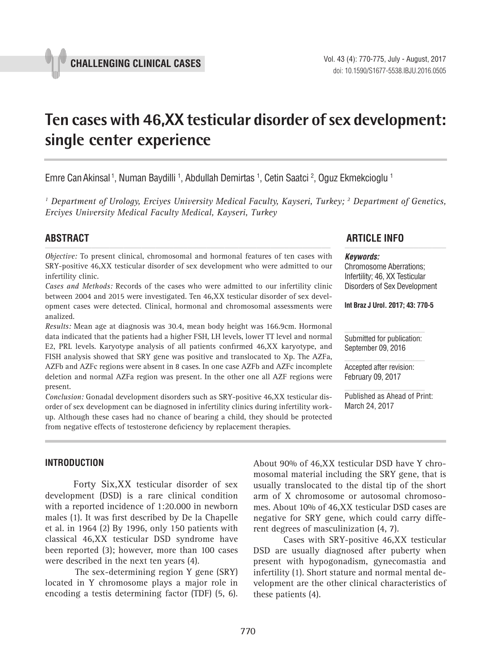# **Ten cases with 46,XX testicular disorder of sex development: single center experience \_\_\_\_\_\_\_\_\_\_\_\_\_\_\_\_\_\_\_\_\_\_\_\_\_\_\_\_\_\_\_\_\_\_\_\_\_\_\_\_\_\_\_\_\_\_\_**

Emre Can Akinsal <sup>1</sup>, Numan Baydilli <sup>1</sup>, Abdullah Demirtas <sup>1</sup>, Cetin Saatci <sup>2</sup>, Oguz Ekmekcioglu <sup>1</sup>

<sup>1</sup> Department of Urology, Erciyes University Medical Faculty, Kayseri, Turkey; <sup>2</sup> Department of Genetics, *Erciyes University Medical Faculty Medical, Kayseri, Turkey*

*Objective:* To present clinical, chromosomal and hormonal features of ten cases with SRY-positive 46,XX testicular disorder of sex development who were admitted to our infertility clinic.

*Cases and Methods:* Records of the cases who were admitted to our infertility clinic between 2004 and 2015 were investigated. Ten 46,XX testicular disorder of sex development cases were detected. Clinical, hormonal and chromosomal assessments were analized.

*Results:* Mean age at diagnosis was 30.4, mean body height was 166.9cm. Hormonal data indicated that the patients had a higher FSH, LH levels, lower TT level and normal E2, PRL levels. Karyotype analysis of all patients confirmed 46,XX karyotype, and FISH analysis showed that SRY gene was positive and translocated to Xp. The AZFa, AZFb and AZFc regions were absent in 8 cases. In one case AZFb and AZFc incomplete deletion and normal AZFa region was present. In the other one all AZF regions were present.

*Conclusion:* Gonadal development disorders such as SRY-positive 46,XX testicular disorder of sex development can be diagnosed in infertility clinics during infertility workup. Although these cases had no chance of bearing a child, they should be protected from negative effects of testosterone deficiency by replacement therapies.

# **ABSTRACT ARTICLE INFO** *\_\_\_\_\_\_\_\_\_\_\_\_\_\_\_\_\_\_\_\_\_\_\_\_\_\_\_\_\_\_\_\_\_\_\_\_\_\_\_\_\_\_\_\_\_\_\_\_\_\_\_\_\_\_\_\_\_\_\_\_\_\_ \_\_\_\_\_\_\_\_\_\_\_\_\_\_\_\_\_\_\_\_\_\_*

#### *Keywords:*

Chromosome Aberrations; Infertility; 46, XX Testicular Disorders of Sex Development

**Int Braz J Urol. 2017; 43: 770-5**

Submitted for publication: September 09, 2016

Accepted after revision: February 09, 2017

Published as Ahead of Print: March 24, 2017

## **INTRODUCTION**

Forty Six,XX testicular disorder of sex development (DSD) is a rare clinical condition with a reported incidence of 1:20.000 in newborn males (1). It was first described by De la Chapelle et al. in 1964 (2) By 1996, only 150 patients with classical 46,XX testicular DSD syndrome have been reported (3); however, more than 100 cases were described in the next ten years (4).

The sex-determining region Y gene (SRY) located in Y chromosome plays a major role in encoding a testis determining factor (TDF) (5, 6). About 90% of 46,XX testicular DSD have Y chromosomal material including the SRY gene, that is usually translocated to the distal tip of the short arm of X chromosome or autosomal chromosomes. About 10% of 46,XX testicular DSD cases are negative for SRY gene, which could carry different degrees of masculinization (4, 7).

Cases with SRY-positive 46,XX testicular DSD are usually diagnosed after puberty when present with hypogonadism, gynecomastia and infertility (1). Short stature and normal mental development are the other clinical characteristics of these patients (4).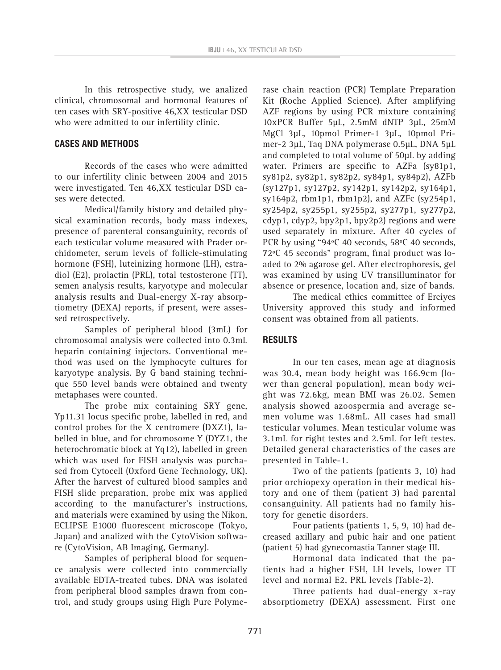In this retrospective study, we analized clinical, chromosomal and hormonal features of ten cases with SRY-positive 46,XX testicular DSD who were admitted to our infertility clinic.

#### **CASES AND METHODS**

Records of the cases who were admitted to our infertility clinic between 2004 and 2015 were investigated. Ten 46,XX testicular DSD cases were detected.

Medical/family history and detailed physical examination records, body mass indexes, presence of parenteral consanguinity, records of each testicular volume measured with Prader orchidometer, serum levels of follicle-stimulating hormone (FSH), luteinizing hormone (LH), estradiol (E2), prolactin (PRL), total testosterone (TT), semen analysis results, karyotype and molecular analysis results and Dual-energy X-ray absorptiometry (DEXA) reports, if present, were assessed retrospectively.

Samples of peripheral blood (3mL) for chromosomal analysis were collected into 0.3mL heparin containing injectors. Conventional method was used on the lymphocyte cultures for karyotype analysis. By G band staining technique 550 level bands were obtained and twenty metaphases were counted.

The probe mix containing SRY gene, Yp11.31 locus specific probe, labelled in red, and control probes for the X centromere (DXZ1), labelled in blue, and for chromosome Y (DYZ1, the heterochromatic block at Yq12), labelled in green which was used for FISH analysis was purchased from Cytocell (Oxford Gene Technology, UK). After the harvest of cultured blood samples and FISH slide preparation, probe mix was applied according to the manufacturer's instructions, and materials were examined by using the Nikon, ECLIPSE E1000 fluorescent microscope (Tokyo, Japan) and analized with the CytoVision software (CytoVision, AB Imaging, Germany).

Samples of peripheral blood for sequence analysis were collected into commercially available EDTA-treated tubes. DNA was isolated from peripheral blood samples drawn from control, and study groups using High Pure Polymerase chain reaction (PCR) Template Preparation Kit (Roche Applied Science). After amplifying AZF regions by using PCR mixture containing 10xPCR Buffer 5µL, 2.5mM dNTP 3µL, 25mM MgCl 3µL, 10pmol Primer-1 3µL, 10pmol Primer-2 3µL, Taq DNA polymerase 0.5µL, DNA 5µL and completed to total volume of 50µL by adding water. Primers are specific to AZFa (sy81p1, sy81p2, sy82p1, sy82p2, sy84p1, sy84p2), AZFb (sy127p1, sy127p2, sy142p1, sy142p2, sy164p1, sy164p2, rbm1p1, rbm1p2), and AZFc (sy254p1, sy254p2, sy255p1, sy255p2, sy277p1, sy277p2, cdyp1, cdyp2, bpy2p1, bpy2p2) regions and were used separately in mixture. After 40 cycles of PCR by using "94ºC 40 seconds, 58ºC 40 seconds, 72ºC 45 seconds" program, final product was loaded to 2% agarose gel. After electrophoresis, gel was examined by using UV transilluminator for absence or presence, location and, size of bands.

The medical ethics committee of Erciyes University approved this study and informed consent was obtained from all patients.

### **RESULTS**

In our ten cases, mean age at diagnosis was 30.4, mean body height was 166.9cm (lower than general population), mean body weight was 72.6kg, mean BMI was 26.02. Semen analysis showed azoospermia and average semen volume was 1.68mL. All cases had small testicular volumes. Mean testicular volume was 3.1mL for right testes and 2.5mL for left testes. Detailed general characteristics of the cases are presented in Table-1.

Two of the patients (patients 3, 10) had prior orchiopexy operation in their medical history and one of them (patient 3) had parental consanguinity. All patients had no family history for genetic disorders.

Four patients (patients 1, 5, 9, 10) had decreased axillary and pubic hair and one patient (patient 5) had gynecomastia Tanner stage III.

Hormonal data indicated that the patients had a higher FSH, LH levels, lower TT level and normal E2, PRL levels (Table-2).

Three patients had dual-energy x-ray absorptiometry (DEXA) assessment. First one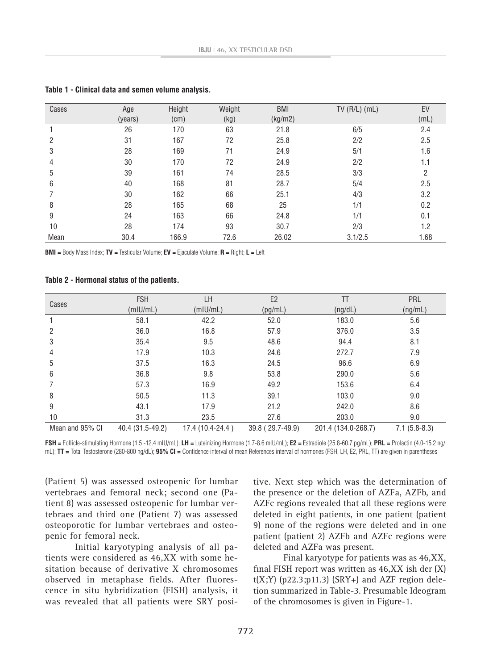| Cases | Age     | Height | Weight | <b>BMI</b> | $TV(R/L)$ (mL) | EV   |
|-------|---------|--------|--------|------------|----------------|------|
|       | (years) | (cm)   | (kg)   | (kg/m2)    |                | (mL) |
|       | 26      | 170    | 63     | 21.8       | 6/5            | 2.4  |
| 2     | 31      | 167    | 72     | 25.8       | 2/2            | 2.5  |
| 3     | 28      | 169    | 71     | 24.9       | 5/1            | 1.6  |
| 4     | 30      | 170    | 72     | 24.9       | 2/2            | 1.1  |
| 5     | 39      | 161    | 74     | 28.5       | 3/3            | 2    |
| 6     | 40      | 168    | 81     | 28.7       | 5/4            | 2.5  |
|       | 30      | 162    | 66     | 25.1       | 4/3            | 3.2  |
| 8     | 28      | 165    | 68     | 25         | 1/1            | 0.2  |
| 9     | 24      | 163    | 66     | 24.8       | 1/1            | 0.1  |
| 10    | 28      | 174    | 93     | 30.7       | 2/3            | 1.2  |
| Mean  | 30.4    | 166.9  | 72.6   | 26.02      | 3.1/2.5        | 1.68 |

**Table 1 - Clinical data and semen volume analysis.**

**BMI =** Body Mass Index; **TV =** Testicular Volume; **EV =** Ejaculate Volume; **R =** Right; **L =** Left

**Table 2 - Hormonal status of the patients.**

|                 | <b>FSH</b>       | LH               | E <sub>2</sub>   | TT                  | PRL            |
|-----------------|------------------|------------------|------------------|---------------------|----------------|
| Cases           | (mIU/mL)         | (mIU/mL)         | (pg/mL)          | (ng/dL)             | (ng/mL)        |
|                 | 58.1             | 42.2             | 52.0             | 183.0               | 5.6            |
| 2               | 36.0             | 16.8             | 57.9             | 376.0               | 3.5            |
| 3               | 35.4             | 9.5              | 48.6             | 94.4                | 8.1            |
| 4               | 17.9             | 10.3             | 24.6             | 272.7               | 7.9            |
| 5               | 37.5             | 16.3             | 24.5             | 96.6                | 6.9            |
| 6               | 36.8             | 9.8              | 53.8             | 290.0               | 5.6            |
|                 | 57.3             | 16.9             | 49.2             | 153.6               | 6.4            |
| 8               | 50.5             | 11.3             | 39.1             | 103.0               | 9.0            |
| 9               | 43.1             | 17.9             | 21.2             | 242.0               | 8.6            |
| 10              | 31.3             | 23.5             | 27.6             | 203.0               | 9.0            |
| Mean and 95% CI | 40.4 (31.5-49.2) | 17.4 (10.4-24.4) | 39.8 (29.7-49.9) | 201.4 (134.0-268.7) | $7.1(5.8-8.3)$ |

**FSH =** Follicle-stimulating Hormone (1.5 -12.4 mIU/mL); **LH =** Luteinizing Hormone (1.7-8.6 mIU/mL); **E2 =** Estradiole (25.8-60.7 pg/mL); **PRL =** Prolactin (4.0-15.2 ng/ mL); **TT =** Total Testosterone (280-800 ng/dL); **95% CI =** Confidence interval of mean References interval of hormones (FSH, LH, E2, PRL, TT) are given in parentheses

(Patient 5) was assessed osteopenic for lumbar vertebraes and femoral neck; second one (Patient 8) was assessed osteopenic for lumbar vertebraes and third one (Patient 7) was assessed osteoporotic for lumbar vertebraes and osteopenic for femoral neck.

Initial karyotyping analysis of all patients were considered as 46,XX with some hesitation because of derivative X chromosomes observed in metaphase fields. After fluorescence in situ hybridization (FISH) analysis, it was revealed that all patients were SRY positive. Next step which was the determination of the presence or the deletion of AZFa, AZFb, and AZFc regions revealed that all these regions were deleted in eight patients, in one patient (patient 9) none of the regions were deleted and in one patient (patient 2) AZFb and AZFc regions were deleted and AZFa was present.

Final karyotype for patients was as 46,XX, final FISH report was written as  $46, XX$  ish der  $(X)$  $t(X;Y)$  (p22.3;p11.3) (SRY+) and AZF region deletion summarized in Table-3. Presumable Ideogram of the chromosomes is given in Figure-1.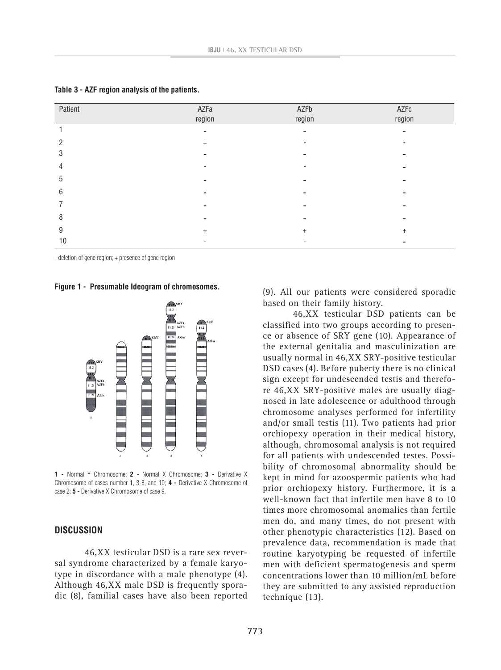| Patient | AZFa      | AZFb                     | AZFc                     |
|---------|-----------|--------------------------|--------------------------|
|         | region    | region                   | region                   |
|         | -         | $\overline{\phantom{a}}$ | $\overline{\phantom{0}}$ |
| ŋ       | $+$       |                          |                          |
| 3       |           |                          |                          |
| 4       |           |                          |                          |
| 5       |           |                          |                          |
| 6       |           |                          |                          |
|         |           |                          |                          |
| 8       |           |                          |                          |
| 9       | $\ddot{}$ | $+$                      | $+$                      |
| 10      |           |                          |                          |

|  |  |  |  |  |  |  | Table 3 - AZF region analysis of the patients. |
|--|--|--|--|--|--|--|------------------------------------------------|
|--|--|--|--|--|--|--|------------------------------------------------|

- deletion of gene region; + presence of gene region

**Figure 1 - Presumable Ideogram of chromosomes.**



**1 -** Normal Y Chromosome; **2 -** Normal X Chromosome; **3 -** Derivative X Chromosome of cases number 1, 3-8, and 10; **4 -** Derivative X Chromosome of case 2; **5 -** Derivative X Chromosome of case 9.

## **DISCUSSION**

46,XX testicular DSD is a rare sex reversal syndrome characterized by a female karyotype in discordance with a male phenotype (4). Although 46,XX male DSD is frequently sporadic (8), familial cases have also been reported (9). All our patients were considered sporadic based on their family history.

46,XX testicular DSD patients can be classified into two groups according to presence or absence of SRY gene (10). Appearance of the external genitalia and masculinization are usually normal in 46,XX SRY-positive testicular DSD cases (4). Before puberty there is no clinical sign except for undescended testis and therefore 46,XX SRY-positive males are usually diagnosed in late adolescence or adulthood through chromosome analyses performed for infertility and/or small testis (11). Two patients had prior orchiopexy operation in their medical history, although, chromosomal analysis is not required for all patients with undescended testes. Possibility of chromosomal abnormality should be kept in mind for azoospermic patients who had prior orchiopexy history. Furthermore, it is a well-known fact that infertile men have 8 to 10 times more chromosomal anomalies than fertile men do, and many times, do not present with other phenotypic characteristics (12). Based on prevalence data, recommendation is made that routine karyotyping be requested of infertile men with deficient spermatogenesis and sperm concentrations lower than 10 million/mL before they are submitted to any assisted reproduction technique (13).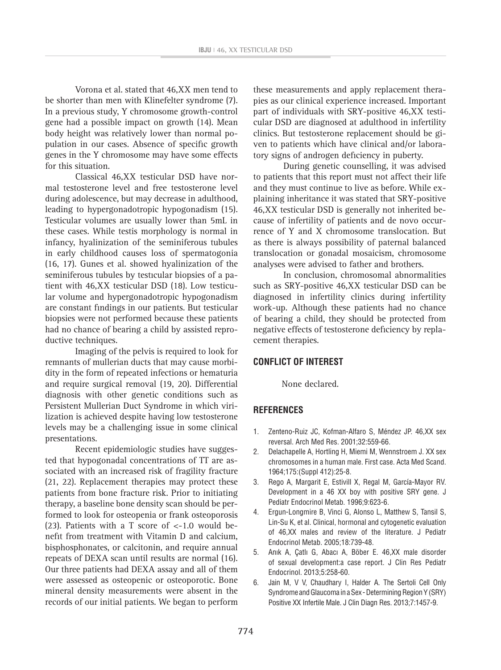Vorona et al. stated that 46,XX men tend to be shorter than men with Klinefelter syndrome (7). In a previous study, Y chromosome growth-control gene had a possible impact on growth (14). Mean body height was relatively lower than normal population in our cases. Absence of specific growth genes in the Y chromosome may have some effects for this situation.

Classical 46,XX testicular DSD have normal testosterone level and free testosterone level during adolescence, but may decrease in adulthood, leading to hypergonadotropic hypogonadism (15). Testicular volumes are usually lower than 5mL in these cases. While testis morphology is normal in infancy, hyalinization of the seminiferous tubules in early childhood causes loss of spermatogonia (16, 17). Gunes et al. showed hyalinization of the seminiferous tubules by testıcular biopsies of a patient with 46,XX testicular DSD (18). Low testicular volume and hypergonadotropic hypogonadism are constant findings in our patients. But testicular biopsies were not performed because these patients had no chance of bearing a child by assisted reproductive techniques.

Imaging of the pelvis is required to look for remnants of mullerian ducts that may cause morbidity in the form of repeated infections or hematuria and require surgical removal (19, 20). Differential diagnosis with other genetic conditions such as Persistent Mullerian Duct Syndrome in which virilization is achieved despite having low testosterone levels may be a challenging issue in some clinical presentations.

Recent epidemiologic studies have suggested that hypogonadal concentrations of TT are associated with an increased risk of fragility fracture (21, 22). Replacement therapies may protect these patients from bone fracture risk. Prior to initiating therapy, a baseline bone density scan should be performed to look for osteopenia or frank osteoporosis (23). Patients with a T score of <-1.0 would benefit from treatment with Vitamin D and calcium, bisphosphonates, or calcitonin, and require annual repeats of DEXA scan until results are normal (16). Our three patients had DEXA assay and all of them were assessed as osteopenic or osteoporotic. Bone mineral density measurements were absent in the records of our initial patients. We began to perform

these measurements and apply replacement therapies as our clinical experience increased. Important part of individuals with SRY-positive 46,XX testicular DSD are diagnosed at adulthood in infertility clinics. But testosterone replacement should be given to patients which have clinical and/or laboratory signs of androgen deficiency in puberty.

During genetic counselling, it was advised to patients that this report must not affect their life and they must continue to live as before. While explaining inheritance it was stated that SRY-positive 46,XX testicular DSD is generally not inherited because of infertility of patients and de novo occurrence of Y and X chromosome translocation. But as there is always possibility of paternal balanced translocation or gonadal mosaicism, chromosome analyses were advised to father and brothers.

In conclusion, chromosomal abnormalities such as SRY-positive 46,XX testicular DSD can be diagnosed in infertility clinics during infertility work-up. Although these patients had no chance of bearing a child, they should be protected from negative effects of testosterone deficiency by replacement therapies.

#### **CONFLICT OF INTEREST**

None declared.

### **REFERENCES**

- 1. Zenteno-Ruiz JC, Kofman-Alfaro S, Méndez JP. 46,XX sex reversal. Arch Med Res. 2001;32:559-66.
- 2. Delachapelle A, Hortling H, Miemi M, Wennstroem J. XX sex chromosomes in a human male. First case. Acta Med Scand. 1964;175:(Suppl 412):25-8.
- 3. Rego A, Margarit E, Estivill X, Regal M, García-Mayor RV. Development in a 46 XX boy with positive SRY gene. J Pediatr Endocrinol Metab. 1996;9:623-6.
- 4. Ergun-Longmire B, Vinci G, Alonso L, Matthew S, Tansil S, Lin-Su K, et al. Clinical, hormonal and cytogenetic evaluation of 46,XX males and review of the literature. J Pediatr Endocrinol Metab. 2005;18:739-48.
- 5. Anık A, Çatlı G, Abacı A, Böber E. 46,XX male disorder of sexual development:a case report. J Clin Res Pediatr Endocrinol. 2013;5:258-60.
- 6. Jain M, V V, Chaudhary I, Halder A. The Sertoli Cell Only Syndrome and Glaucoma in a Sex - Determining Region Y (SRY) Positive XX Infertile Male. J Clin Diagn Res. 2013;7:1457-9.